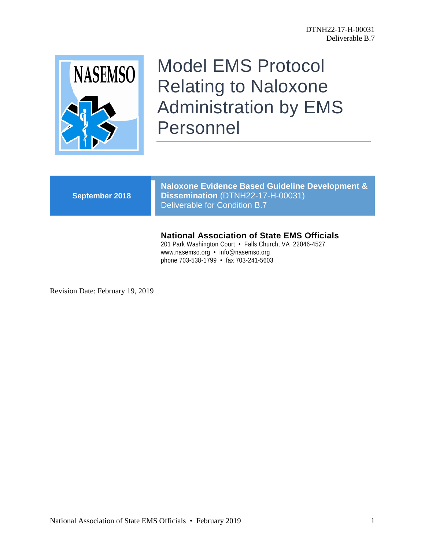

# Model EMS Protocol Relating to Naloxone Administration by EMS Personnel

**September 2018**

**Naloxone Evidence Based Guideline Development & Dissemination** (DTNH22-17-H-00031) Deliverable for Condition B.7

# **National Association of State EMS Officials**

201 Park Washington Court • Falls Church, VA 22046-4527 www.nasemso.org • info@nasemso.org phone 703-538-1799 • fax 703-241-5603

Revision Date: February 19, 2019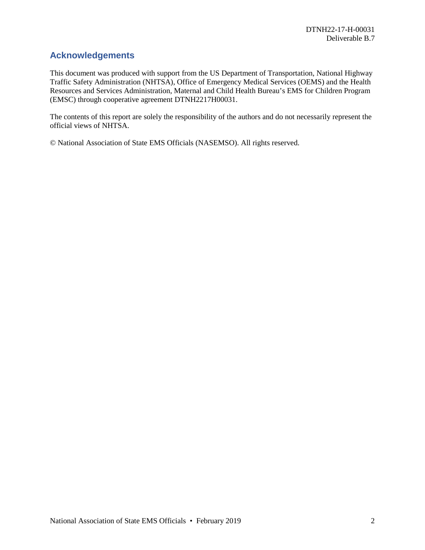# **Acknowledgements**

This document was produced with support from the US Department of Transportation, National Highway Traffic Safety Administration (NHTSA), Office of Emergency Medical Services (OEMS) and the Health Resources and Services Administration, Maternal and Child Health Bureau's EMS for Children Program (EMSC) through cooperative agreement DTNH2217H00031.

The contents of this report are solely the responsibility of the authors and do not necessarily represent the official views of NHTSA.

© National Association of State EMS Officials (NASEMSO). All rights reserved.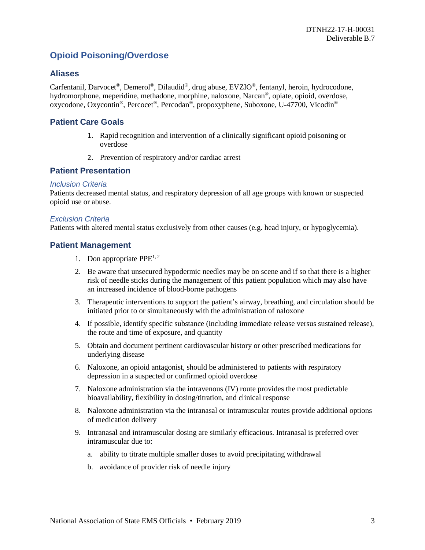# **Opioid Poisoning/Overdose**

## **Aliases**

Carfentanil, Darvocet®, Demerol®, Dilaudid®, drug abuse, EVZIO®, fentanyl, heroin, hydrocodone, hydromorphone, meperidine, methadone, morphine, naloxone, Narcan®, opiate, opioid, overdose, oxycodone, Oxycontin®, Percocet®, Percodan®, propoxyphene, Suboxone, U-47700, Vicodin®

## **Patient Care Goals**

- 1. Rapid recognition and intervention of a clinically significant opioid poisoning or overdose
- 2. Prevention of respiratory and/or cardiac arrest

## **Patient Presentation**

#### *Inclusion Criteria*

Patients decreased mental status, and respiratory depression of all age groups with known or suspected opioid use or abuse.

#### *Exclusion Criteria*

Patients with altered mental status exclusively from other causes (e.g. head injury, or hypoglycemia).

### **Patient Management**

- 1. Don appropriate  $PPE^{1,2}$
- 2. Be aware that unsecured hypodermic needles may be on scene and if so that there is a higher risk of needle sticks during the management of this patient population which may also have an increased incidence of blood-borne pathogens
- 3. Therapeutic interventions to support the patient's airway, breathing, and circulation should be initiated prior to or simultaneously with the administration of naloxone
- 4. If possible, identify specific substance (including immediate release versus sustained release), the route and time of exposure, and quantity
- 5. Obtain and document pertinent cardiovascular history or other prescribed medications for underlying disease
- 6. Naloxone, an opioid antagonist, should be administered to patients with respiratory depression in a suspected or confirmed opioid overdose
- 7. Naloxone administration via the intravenous (IV) route provides the most predictable bioavailability, flexibility in dosing/titration, and clinical response
- 8. Naloxone administration via the intranasal or intramuscular routes provide additional options of medication delivery
- 9. Intranasal and intramuscular dosing are similarly efficacious. Intranasal is preferred over intramuscular due to:
	- a. ability to titrate multiple smaller doses to avoid precipitating withdrawal
	- b. avoidance of provider risk of needle injury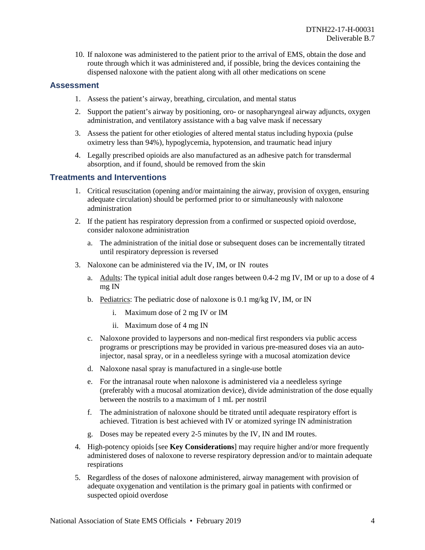10. If naloxone was administered to the patient prior to the arrival of EMS, obtain the dose and route through which it was administered and, if possible, bring the devices containing the dispensed naloxone with the patient along with all other medications on scene

## **Assessment**

- 1. Assess the patient's airway, breathing, circulation, and mental status
- 2. Support the patient's airway by positioning, oro- or nasopharyngeal airway adjuncts, oxygen administration, and ventilatory assistance with a bag valve mask if necessary
- 3. Assess the patient for other etiologies of altered mental status including hypoxia (pulse oximetry less than 94%), hypoglycemia, hypotension, and traumatic head injury
- 4. Legally prescribed opioids are also manufactured as an adhesive patch for transdermal absorption, and if found, should be removed from the skin

## **Treatments and Interventions**

- 1. Critical resuscitation (opening and/or maintaining the airway, provision of oxygen, ensuring adequate circulation) should be performed prior to or simultaneously with naloxone administration
- 2. If the patient has respiratory depression from a confirmed or suspected opioid overdose, consider naloxone administration
	- a. The administration of the initial dose or subsequent doses can be incrementally titrated until respiratory depression is reversed
- 3. Naloxone can be administered via the IV, IM, or IN routes
	- a. Adults: The typical initial adult dose ranges between 0.4-2 mg IV, IM or up to a dose of 4 mg IN
	- b. Pediatrics: The pediatric dose of naloxone is 0.1 mg/kg IV, IM, or IN
		- i. Maximum dose of 2 mg IV or IM
		- ii. Maximum dose of 4 mg IN
	- c. Naloxone provided to laypersons and non-medical first responders via public access programs or prescriptions may be provided in various pre-measured doses via an autoinjector, nasal spray, or in a needleless syringe with a mucosal atomization device
	- d. Naloxone nasal spray is manufactured in a single-use bottle
	- e. For the intranasal route when naloxone is administered via a needleless syringe (preferably with a mucosal atomization device), divide administration of the dose equally between the nostrils to a maximum of 1 mL per nostril
	- f. The administration of naloxone should be titrated until adequate respiratory effort is achieved. Titration is best achieved with IV or atomized syringe IN administration
	- g. Doses may be repeated every 2-5 minutes by the IV, IN and IM routes.
- 4. High-potency opioids [see **Key Considerations**] may require higher and/or more frequently administered doses of naloxone to reverse respiratory depression and/or to maintain adequate respirations
- 5. Regardless of the doses of naloxone administered, airway management with provision of adequate oxygenation and ventilation is the primary goal in patients with confirmed or suspected opioid overdose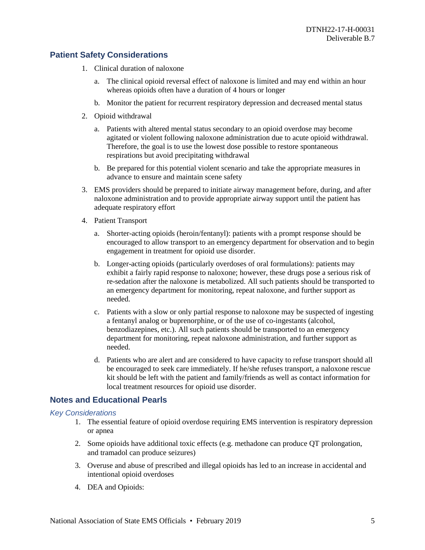# **Patient Safety Considerations**

- 1. Clinical duration of naloxone
	- a. The clinical opioid reversal effect of naloxone is limited and may end within an hour whereas opioids often have a duration of 4 hours or longer
	- b. Monitor the patient for recurrent respiratory depression and decreased mental status
- 2. Opioid withdrawal
	- a. Patients with altered mental status secondary to an opioid overdose may become agitated or violent following naloxone administration due to acute opioid withdrawal. Therefore, the goal is to use the lowest dose possible to restore spontaneous respirations but avoid precipitating withdrawal
	- b. Be prepared for this potential violent scenario and take the appropriate measures in advance to ensure and maintain scene safety
- 3. EMS providers should be prepared to initiate airway management before, during, and after naloxone administration and to provide appropriate airway support until the patient has adequate respiratory effort
- 4. Patient Transport
	- a. Shorter-acting opioids (heroin/fentanyl): patients with a prompt response should be encouraged to allow transport to an emergency department for observation and to begin engagement in treatment for opioid use disorder.
	- b. Longer-acting opioids (particularly overdoses of oral formulations): patients may exhibit a fairly rapid response to naloxone; however, these drugs pose a serious risk of re-sedation after the naloxone is metabolized. All such patients should be transported to an emergency department for monitoring, repeat naloxone, and further support as needed.
	- c. Patients with a slow or only partial response to naloxone may be suspected of ingesting a fentanyl analog or buprenorphine, or of the use of co-ingestants (alcohol, benzodiazepines, etc.). All such patients should be transported to an emergency department for monitoring, repeat naloxone administration, and further support as needed.
	- d. Patients who are alert and are considered to have capacity to refuse transport should all be encouraged to seek care immediately. If he/she refuses transport, a naloxone rescue kit should be left with the patient and family/friends as well as contact information for local treatment resources for opioid use disorder.

# **Notes and Educational Pearls**

#### *Key Considerations*

- 1. The essential feature of opioid overdose requiring EMS intervention is respiratory depression or apnea
- 2. Some opioids have additional toxic effects (e.g. methadone can produce QT prolongation, and tramadol can produce seizures)
- 3. Overuse and abuse of prescribed and illegal opioids has led to an increase in accidental and intentional opioid overdoses
- 4. DEA and Opioids: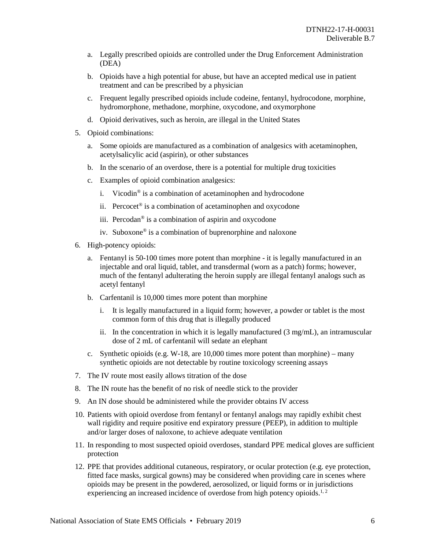- a. Legally prescribed opioids are controlled under the Drug Enforcement Administration (DEA)
- b. Opioids have a high potential for abuse, but have an accepted medical use in patient treatment and can be prescribed by a physician
- c. Frequent legally prescribed opioids include codeine, fentanyl, hydrocodone, morphine, hydromorphone, methadone, morphine, oxycodone, and oxymorphone
- d. Opioid derivatives, such as heroin, are illegal in the United States
- 5. Opioid combinations:
	- a. Some opioids are manufactured as a combination of analgesics with acetaminophen, acetylsalicylic acid (aspirin), or other substances
	- b. In the scenario of an overdose, there is a potential for multiple drug toxicities
	- c. Examples of opioid combination analgesics:
		- i. Vicodin<sup>®</sup> is a combination of acetaminophen and hydrocodone
		- ii. Percocet<sup>®</sup> is a combination of acetaminophen and oxycodone
		- iii. Percodan® is a combination of aspirin and oxycodone
		- iv. Suboxone® is a combination of buprenorphine and naloxone
- 6. High-potency opioids:
	- a. Fentanyl is 50-100 times more potent than morphine it is legally manufactured in an injectable and oral liquid, tablet, and transdermal (worn as a patch) forms; however, much of the fentanyl adulterating the heroin supply are illegal fentanyl analogs such as acetyl fentanyl
	- b. Carfentanil is 10,000 times more potent than morphine
		- i. It is legally manufactured in a liquid form; however, a powder or tablet is the most common form of this drug that is illegally produced
		- ii. In the concentration in which it is legally manufactured (3 mg/mL), an intramuscular dose of 2 mL of carfentanil will sedate an elephant
	- c. Synthetic opioids (e.g.  $W-18$ , are 10,000 times more potent than morphine) many synthetic opioids are not detectable by routine toxicology screening assays
- 7. The IV route most easily allows titration of the dose
- 8. The IN route has the benefit of no risk of needle stick to the provider
- 9. An IN dose should be administered while the provider obtains IV access
- 10. Patients with opioid overdose from fentanyl or fentanyl analogs may rapidly exhibit chest wall rigidity and require positive end expiratory pressure (PEEP), in addition to multiple and/or larger doses of naloxone, to achieve adequate ventilation
- 11. In responding to most suspected opioid overdoses, standard PPE medical gloves are sufficient protection
- 12. PPE that provides additional cutaneous, respiratory, or ocular protection (e.g. eye protection, fitted face masks, surgical gowns) may be considered when providing care in scenes where opioids may be present in the powdered, aerosolized, or liquid forms or in jurisdictions experiencing an increased incidence of overdose from high potency opioids.<sup>1,2</sup>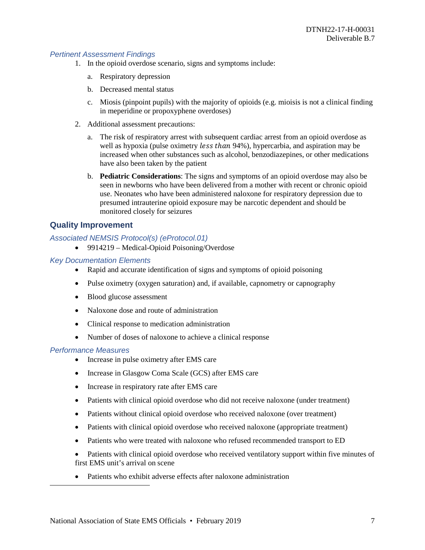#### *Pertinent Assessment Findings*

- 1. In the opioid overdose scenario, signs and symptoms include:
	- a. Respiratory depression
	- b. Decreased mental status
	- c. Miosis (pinpoint pupils) with the majority of opioids (e.g. mioisis is not a clinical finding in meperidine or propoxyphene overdoses)
- 2. Additional assessment precautions:
	- a. The risk of respiratory arrest with subsequent cardiac arrest from an opioid overdose as well as hypoxia (pulse oximetry *less than* 94%), hypercarbia, and aspiration may be increased when other substances such as alcohol, benzodiazepines, or other medications have also been taken by the patient
	- b. **Pediatric Considerations**: The signs and symptoms of an opioid overdose may also be seen in newborns who have been delivered from a mother with recent or chronic opioid use. Neonates who have been administered naloxone for respiratory depression due to presumed intrauterine opioid exposure may be narcotic dependent and should be monitored closely for seizures

## **Quality Improvement**

#### *Associated NEMSIS Protocol(s) (eProtocol.01)*

• 9914219 – Medical-Opioid Poisoning/Overdose

#### *Key Documentation Elements*

- Rapid and accurate identification of signs and symptoms of opioid poisoning
- Pulse oximetry (oxygen saturation) and, if available, capnometry or capnography
- Blood glucose assessment
- Naloxone dose and route of administration
- Clinical response to medication administration
- Number of doses of naloxone to achieve a clinical response

#### *Performance Measures*

- Increase in pulse oximetry after EMS care
- Increase in Glasgow Coma Scale (GCS) after EMS care
- Increase in respiratory rate after EMS care
- Patients with clinical opioid overdose who did not receive naloxone (under treatment)
- Patients without clinical opioid overdose who received naloxone (over treatment)
- Patients with clinical opioid overdose who received naloxone (appropriate treatment)
- Patients who were treated with naloxone who refused recommended transport to ED
- Patients with clinical opioid overdose who received ventilatory support within five minutes of first EMS unit's arrival on scene
- Patients who exhibit adverse effects after naloxone administration